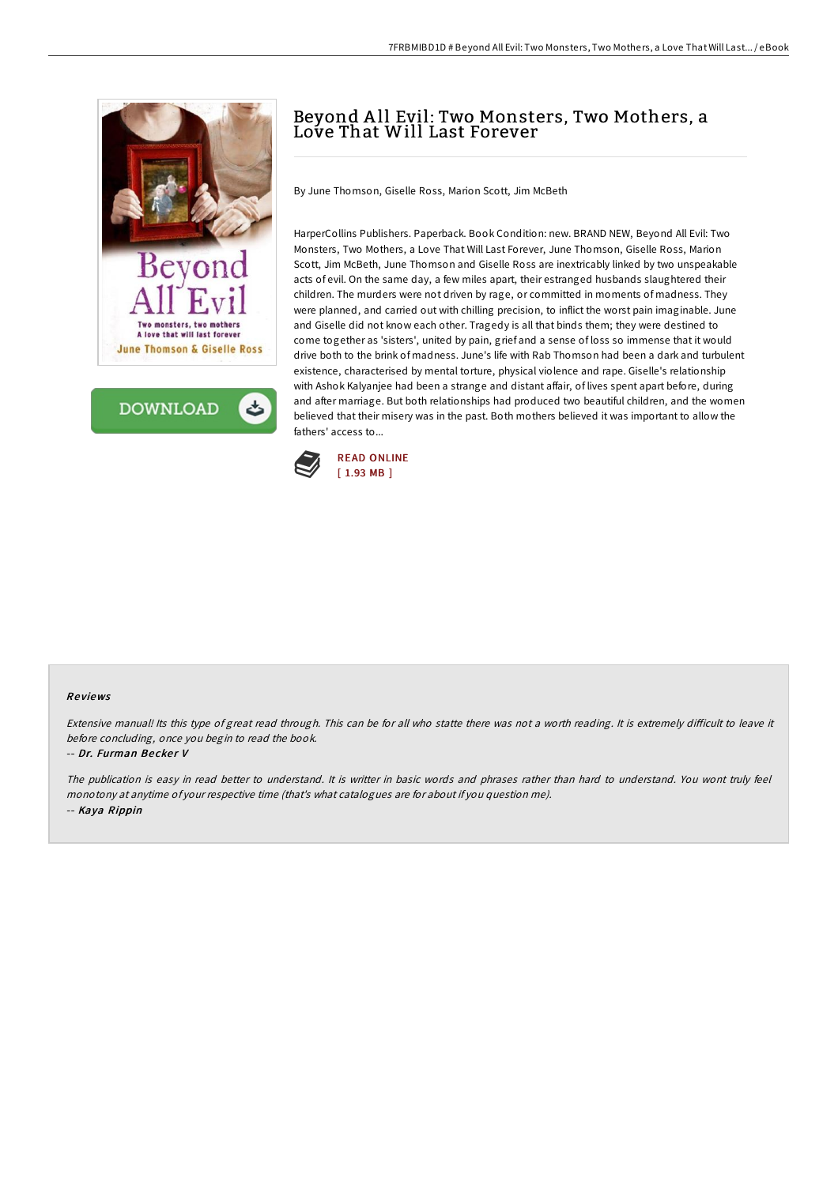



## Beyond All Evil: Two Monsters, Two Mothers, a Love That Will Last Forever

By June Thomson, Giselle Ross, Marion Scott, Jim McBeth

HarperCollins Publishers. Paperback. Book Condition: new. BRAND NEW, Beyond All Evil: Two Monsters, Two Mothers, a Love That Will Last Forever, June Thomson, Giselle Ross, Marion Scott, Jim McBeth, June Thomson and Giselle Ross are inextricably linked by two unspeakable acts of evil. On the same day, a few miles apart, their estranged husbands slaughtered their children. The murders were not driven by rage, or committed in moments of madness. They were planned, and carried out with chilling precision, to inflict the worst pain imaginable. June and Giselle did not know each other. Tragedy is all that binds them; they were destined to come together as 'sisters', united by pain, grief and a sense of loss so immense that it would drive both to the brink of madness. June's life with Rab Thomson had been a dark and turbulent existence, characterised by mental torture, physical violence and rape. Giselle's relationship with Ashok Kalyanjee had been a strange and distant affair, of lives spent apart before, during and after marriage. But both relationships had produced two beautiful children, and the women believed that their misery was in the past. Both mothers believed it was important to allow the fathers' access to...



## Re views

Extensive manual! Its this type of great read through. This can be for all who statte there was not a worth reading. It is extremely difficult to leave it before concluding, once you begin to read the book.

## -- Dr. Furman Becker V

The publication is easy in read better to understand. It is writter in basic words and phrases rather than hard to understand. You wont truly feel monotony at anytime of your respective time (that's what catalogues are for about if you question me). -- Kaya Rippin